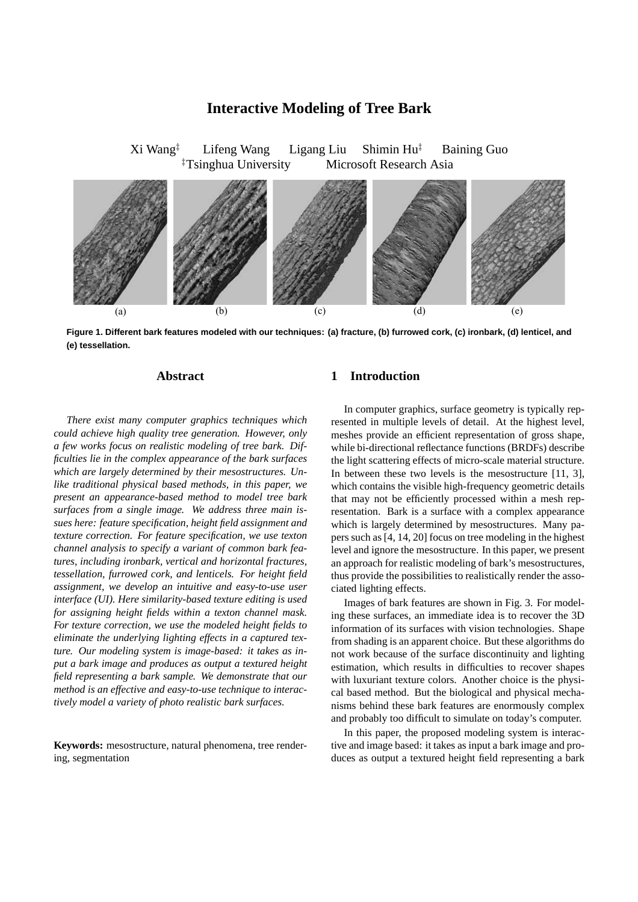# **Interactive Modeling of Tree Bark**

Xi Wang*‡* Lifeng Wang Ligang Liu Shimin Hu*‡* Baining Guo *‡* Microsoft Research Asia



**Figure 1. Different bark features modeled with our techniques: (a) fracture, (b) furrowed cork, (c) ironbark, (d) lenticel, and (e) tessellation.**

## **Abstract**

*There exist many computer graphics techniques which could achieve high quality tree generation. However, only a few works focus on realistic modeling of tree bark. Difficulties lie in the complex appearance of the bark surfaces which are largely determined by their mesostructures. Unlike traditional physical based methods, in this paper, we present an appearance-based method to model tree bark surfaces from a single image. We address three main issues here: feature specification, height field assignment and texture correction. For feature specification, we use texton channel analysis to specify a variant of common bark features, including ironbark, vertical and horizontal fractures, tessellation, furrowed cork, and lenticels. For height field assignment, we develop an intuitive and easy-to-use user interface (UI). Here similarity-based texture editing is used for assigning height fields within a texton channel mask. For texture correction, we use the modeled height fields to eliminate the underlying lighting effects in a captured texture. Our modeling system is image-based: it takes as input a bark image and produces as output a textured height field representing a bark sample. We demonstrate that our method is an effective and easy-to-use technique to interactively model a variety of photo realistic bark surfaces.*

**Keywords:** mesostructure, natural phenomena, tree rendering, segmentation

# **1 Introduction**

In computer graphics, surface geometry is typically represented in multiple levels of detail. At the highest level, meshes provide an efficient representation of gross shape, while bi-directional reflectance functions (BRDFs) describe the light scattering effects of micro-scale material structure. In between these two levels is the mesostructure [11, 3], which contains the visible high-frequency geometric details that may not be efficiently processed within a mesh representation. Bark is a surface with a complex appearance which is largely determined by mesostructures. Many papers such as [4, 14, 20] focus on tree modeling in the highest level and ignore the mesostructure. In this paper, we present an approach for realistic modeling of bark's mesostructures, thus provide the possibilities to realistically render the associated lighting effects.

Images of bark features are shown in Fig. 3. For modeling these surfaces, an immediate idea is to recover the 3D information of its surfaces with vision technologies. Shape from shading is an apparent choice. But these algorithms do not work because of the surface discontinuity and lighting estimation, which results in difficulties to recover shapes with luxuriant texture colors. Another choice is the physical based method. But the biological and physical mechanisms behind these bark features are enormously complex and probably too difficult to simulate on today's computer.

In this paper, the proposed modeling system is interactive and image based: it takes as input a bark image and produces as output a textured height field representing a bark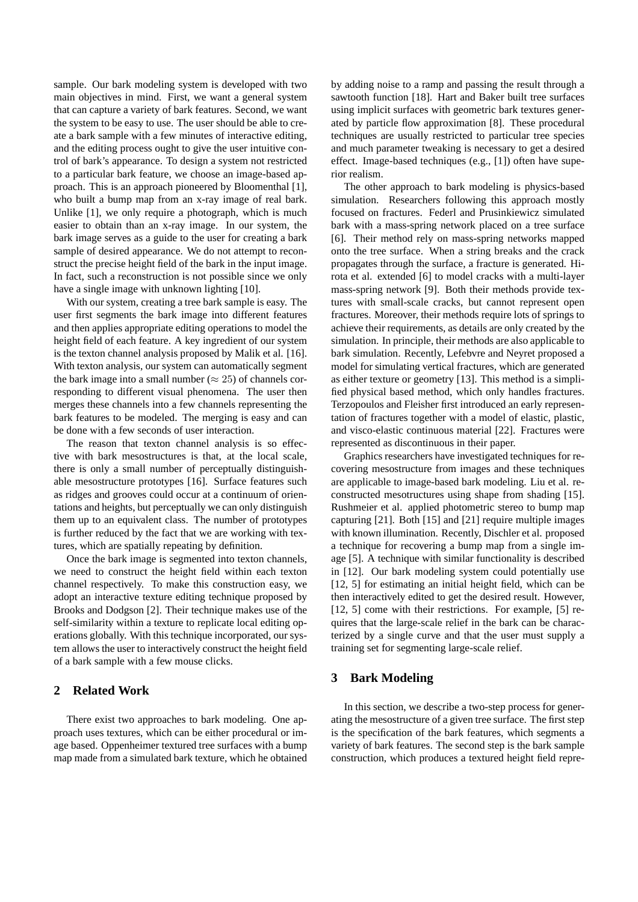sample. Our bark modeling system is developed with two main objectives in mind. First, we want a general system that can capture a variety of bark features. Second, we want the system to be easy to use. The user should be able to create a bark sample with a few minutes of interactive editing, and the editing process ought to give the user intuitive control of bark's appearance. To design a system not restricted to a particular bark feature, we choose an image-based approach. This is an approach pioneered by Bloomenthal [1], who built a bump map from an x-ray image of real bark. Unlike [1], we only require a photograph, which is much easier to obtain than an x-ray image. In our system, the bark image serves as a guide to the user for creating a bark sample of desired appearance. We do not attempt to reconstruct the precise height field of the bark in the input image. In fact, such a reconstruction is not possible since we only have a single image with unknown lighting [10].

With our system, creating a tree bark sample is easy. The user first segments the bark image into different features and then applies appropriate editing operations to model the height field of each feature. A key ingredient of our system is the texton channel analysis proposed by Malik et al. [16]. With texton analysis, our system can automatically segment the bark image into a small number ( $\approx$  25) of channels corresponding to different visual phenomena. The user then merges these channels into a few channels representing the bark features to be modeled. The merging is easy and can be done with a few seconds of user interaction.

The reason that texton channel analysis is so effective with bark mesostructures is that, at the local scale, there is only a small number of perceptually distinguishable mesostructure prototypes [16]. Surface features such as ridges and grooves could occur at a continuum of orientations and heights, but perceptually we can only distinguish them up to an equivalent class. The number of prototypes is further reduced by the fact that we are working with textures, which are spatially repeating by definition.

Once the bark image is segmented into texton channels, we need to construct the height field within each texton channel respectively. To make this construction easy, we adopt an interactive texture editing technique proposed by Brooks and Dodgson [2]. Their technique makes use of the self-similarity within a texture to replicate local editing operations globally. With this technique incorporated, our system allows the user to interactively construct the height field of a bark sample with a few mouse clicks.

## **2 Related Work**

There exist two approaches to bark modeling. One approach uses textures, which can be either procedural or image based. Oppenheimer textured tree surfaces with a bump map made from a simulated bark texture, which he obtained by adding noise to a ramp and passing the result through a sawtooth function [18]. Hart and Baker built tree surfaces using implicit surfaces with geometric bark textures generated by particle flow approximation [8]. These procedural techniques are usually restricted to particular tree species and much parameter tweaking is necessary to get a desired effect. Image-based techniques (e.g., [1]) often have superior realism.

The other approach to bark modeling is physics-based simulation. Researchers following this approach mostly focused on fractures. Federl and Prusinkiewicz simulated bark with a mass-spring network placed on a tree surface [6]. Their method rely on mass-spring networks mapped onto the tree surface. When a string breaks and the crack propagates through the surface, a fracture is generated. Hirota et al. extended [6] to model cracks with a multi-layer mass-spring network [9]. Both their methods provide textures with small-scale cracks, but cannot represent open fractures. Moreover, their methods require lots of springs to achieve their requirements, as details are only created by the simulation. In principle, their methods are also applicable to bark simulation. Recently, Lefebvre and Neyret proposed a model for simulating vertical fractures, which are generated as either texture or geometry [13]. This method is a simplified physical based method, which only handles fractures. Terzopoulos and Fleisher first introduced an early representation of fractures together with a model of elastic, plastic, and visco-elastic continuous material [22]. Fractures were represented as discontinuous in their paper.

Graphics researchers have investigated techniques for recovering mesostructure from images and these techniques are applicable to image-based bark modeling. Liu et al. reconstructed mesotructures using shape from shading [15]. Rushmeier et al. applied photometric stereo to bump map capturing [21]. Both [15] and [21] require multiple images with known illumination. Recently, Dischler et al. proposed a technique for recovering a bump map from a single image [5]. A technique with similar functionality is described in [12]. Our bark modeling system could potentially use [12, 5] for estimating an initial height field, which can be then interactively edited to get the desired result. However, [12, 5] come with their restrictions. For example, [5] requires that the large-scale relief in the bark can be characterized by a single curve and that the user must supply a training set for segmenting large-scale relief.

#### **3 Bark Modeling**

In this section, we describe a two-step process for generating the mesostructure of a given tree surface. The first step is the specification of the bark features, which segments a variety of bark features. The second step is the bark sample construction, which produces a textured height field repre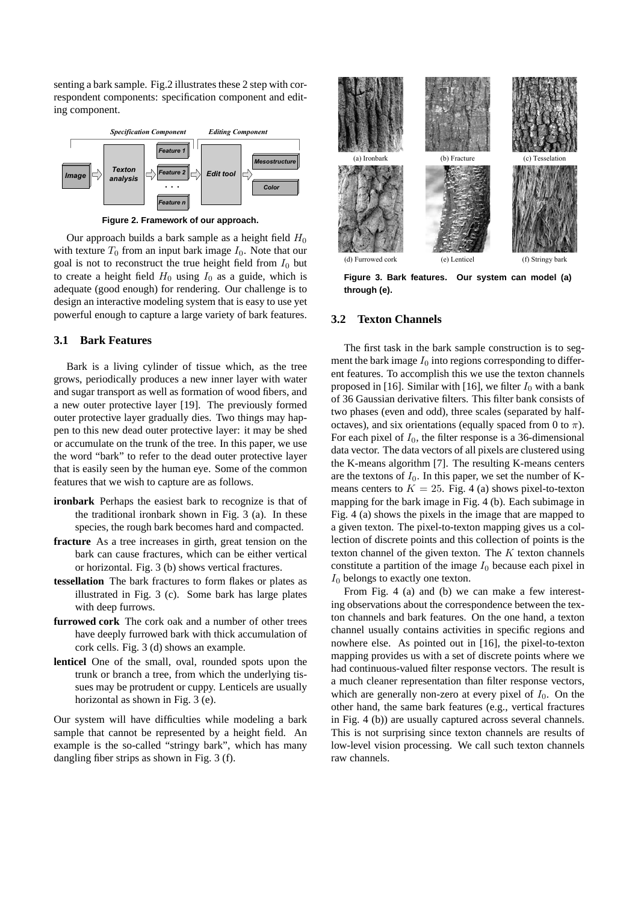senting a bark sample. Fig.2 illustrates these 2 step with correspondent components: specification component and editing component.



**Figure 2. Framework of our approach.**

Our approach builds a bark sample as a height field  $H_0$ with texture  $T_0$  from an input bark image  $I_0$ . Note that our goal is not to reconstruct the true height field from  $I_0$  but to create a height field  $H_0$  using  $I_0$  as a guide, which is adequate (good enough) for rendering. Our challenge is to design an interactive modeling system that is easy to use yet powerful enough to capture a large variety of bark features.

## **3.1 Bark Features**

Bark is a living cylinder of tissue which, as the tree grows, periodically produces a new inner layer with water and sugar transport as well as formation of wood fibers, and a new outer protective layer [19]. The previously formed outer protective layer gradually dies. Two things may happen to this new dead outer protective layer: it may be shed or accumulate on the trunk of the tree. In this paper, we use the word "bark" to refer to the dead outer protective layer that is easily seen by the human eye. Some of the common features that we wish to capture are as follows.

- **ironbark** Perhaps the easiest bark to recognize is that of the traditional ironbark shown in Fig. 3 (a). In these species, the rough bark becomes hard and compacted.
- **fracture** As a tree increases in girth, great tension on the bark can cause fractures, which can be either vertical or horizontal. Fig. 3 (b) shows vertical fractures.
- **tessellation** The bark fractures to form flakes or plates as illustrated in Fig. 3 (c). Some bark has large plates with deep furrows.
- **furrowed cork** The cork oak and a number of other trees have deeply furrowed bark with thick accumulation of cork cells. Fig. 3 (d) shows an example.
- **lenticel** One of the small, oval, rounded spots upon the trunk or branch a tree, from which the underlying tissues may be protrudent or cuppy. Lenticels are usually horizontal as shown in Fig. 3 (e).

Our system will have difficulties while modeling a bark sample that cannot be represented by a height field. An example is the so-called "stringy bark", which has many dangling fiber strips as shown in Fig. 3 (f).



**Figure 3. Bark features. Our system can model (a) through (e).**

#### **3.2 Texton Channels**

The first task in the bark sample construction is to segment the bark image  $I_0$  into regions corresponding to different features. To accomplish this we use the texton channels proposed in [16]. Similar with [16], we filter  $I_0$  with a bank of 36 Gaussian derivative filters. This filter bank consists of two phases (even and odd), three scales (separated by halfoctaves), and six orientations (equally spaced from 0 to  $\pi$ ). For each pixel of  $I_0$ , the filter response is a 36-dimensional data vector. The data vectors of all pixels are clustered using the K-means algorithm [7]. The resulting K-means centers are the textons of  $I_0$ . In this paper, we set the number of Kmeans centers to  $K = 25$ . Fig. 4 (a) shows pixel-to-texton mapping for the bark image in Fig. 4 (b). Each subimage in Fig. 4 (a) shows the pixels in the image that are mapped to a given texton. The pixel-to-texton mapping gives us a collection of discrete points and this collection of points is the texton channel of the given texton. The  $K$  texton channels constitute a partition of the image  $I_0$  because each pixel in  $I_0$  belongs to exactly one texton.

From Fig. 4 (a) and (b) we can make a few interesting observations about the correspondence between the texton channels and bark features. On the one hand, a texton channel usually contains activities in specific regions and nowhere else. As pointed out in [16], the pixel-to-texton mapping provides us with a set of discrete points where we had continuous-valued filter response vectors. The result is a much cleaner representation than filter response vectors, which are generally non-zero at every pixel of  $I_0$ . On the other hand, the same bark features (e.g., vertical fractures in Fig. 4 (b)) are usually captured across several channels. This is not surprising since texton channels are results of low-level vision processing. We call such texton channels raw channels.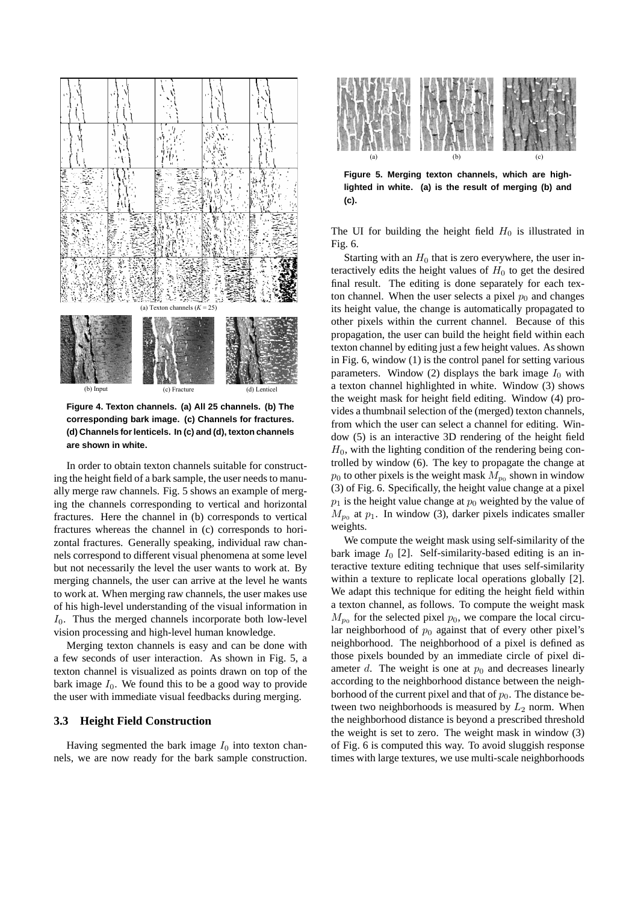

**Figure 4. Texton channels. (a) All 25 channels. (b) The corresponding bark image. (c) Channels for fractures. (d) Channels for lenticels. In (c) and (d), texton channels are shown in white.**

In order to obtain texton channels suitable for constructing the height field of a bark sample, the user needs to manually merge raw channels. Fig. 5 shows an example of merging the channels corresponding to vertical and horizontal fractures. Here the channel in (b) corresponds to vertical fractures whereas the channel in (c) corresponds to horizontal fractures. Generally speaking, individual raw channels correspond to different visual phenomena at some level but not necessarily the level the user wants to work at. By merging channels, the user can arrive at the level he wants to work at. When merging raw channels, the user makes use of his high-level understanding of the visual information in  $I_0$ . Thus the merged channels incorporate both low-level vision processing and high-level human knowledge.

Merging texton channels is easy and can be done with a few seconds of user interaction. As shown in Fig. 5, a texton channel is visualized as points drawn on top of the bark image  $I_0$ . We found this to be a good way to provide the user with immediate visual feedbacks during merging.

#### **3.3 Height Field Construction**

Having segmented the bark image  $I_0$  into texton channels, we are now ready for the bark sample construction.



**Figure 5. Merging texton channels, which are highlighted in white. (a) is the result of merging (b) and (c).**

The UI for building the height field  $H_0$  is illustrated in Fig. 6.

Starting with an  $H_0$  that is zero everywhere, the user interactively edits the height values of  $H_0$  to get the desired final result. The editing is done separately for each texton channel. When the user selects a pixel  $p_0$  and changes its height value, the change is automatically propagated to other pixels within the current channel. Because of this propagation, the user can build the height field within each texton channel by editing just a few height values. As shown in Fig. 6, window (1) is the control panel for setting various parameters. Window (2) displays the bark image  $I_0$  with a texton channel highlighted in white. Window (3) shows the weight mask for height field editing. Window (4) provides a thumbnail selection of the (merged) texton channels, from which the user can select a channel for editing. Window (5) is an interactive 3D rendering of the height field  $H<sub>0</sub>$ , with the lighting condition of the rendering being controlled by window (6). The key to propagate the change at  $p_0$  to other pixels is the weight mask  $M_{p_0}$  shown in window (3) of Fig. 6. Specifically, the height value change at a pixel  $p_1$  is the height value change at  $p_0$  weighted by the value of  $M_{p_0}$  at  $p_1$ . In window (3), darker pixels indicates smaller weights.

We compute the weight mask using self-similarity of the bark image  $I_0$  [2]. Self-similarity-based editing is an interactive texture editing technique that uses self-similarity within a texture to replicate local operations globally [2]. We adapt this technique for editing the height field within a texton channel, as follows. To compute the weight mask  $M_{p_0}$  for the selected pixel  $p_0$ , we compare the local circular neighborhood of  $p_0$  against that of every other pixel's neighborhood. The neighborhood of a pixel is defined as those pixels bounded by an immediate circle of pixel diameter d. The weight is one at  $p_0$  and decreases linearly according to the neighborhood distance between the neighborhood of the current pixel and that of  $p_0$ . The distance between two neighborhoods is measured by  $L_2$  norm. When the neighborhood distance is beyond a prescribed threshold the weight is set to zero. The weight mask in window (3) of Fig. 6 is computed this way. To avoid sluggish response times with large textures, we use multi-scale neighborhoods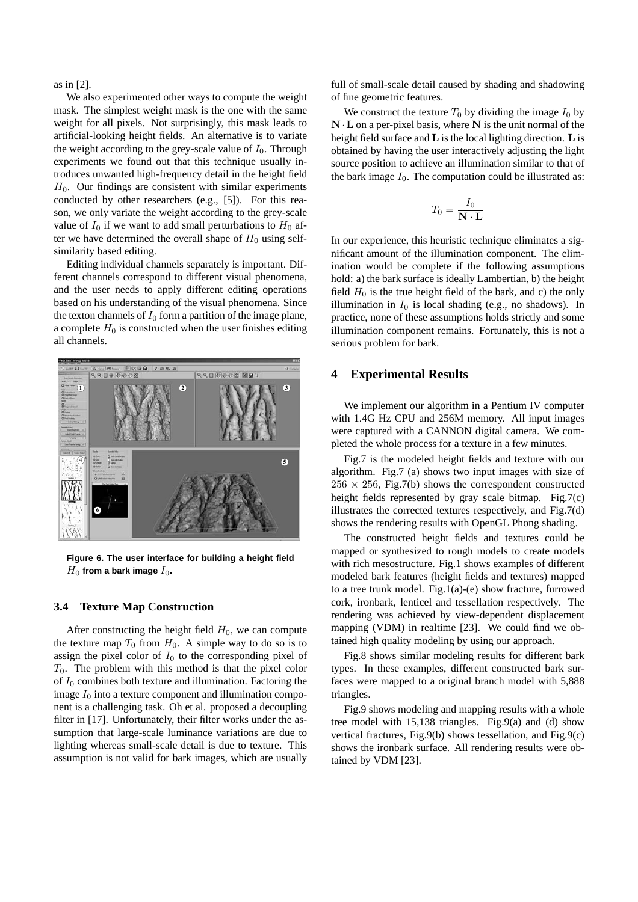as in [2].

We also experimented other ways to compute the weight mask. The simplest weight mask is the one with the same weight for all pixels. Not surprisingly, this mask leads to artificial-looking height fields. An alternative is to variate the weight according to the grey-scale value of  $I_0$ . Through experiments we found out that this technique usually introduces unwanted high-frequency detail in the height field  $H<sub>0</sub>$ . Our findings are consistent with similar experiments conducted by other researchers (e.g., [5]). For this reason, we only variate the weight according to the grey-scale value of  $I_0$  if we want to add small perturbations to  $H_0$  after we have determined the overall shape of  $H_0$  using selfsimilarity based editing.

Editing individual channels separately is important. Different channels correspond to different visual phenomena, and the user needs to apply different editing operations based on his understanding of the visual phenomena. Since the texton channels of  $I_0$  form a partition of the image plane, a complete  $H_0$  is constructed when the user finishes editing all channels.



**Figure 6. The user interface for building a height field**  $H_0$  from a bark image  $I_0$ .

#### **3.4 Texture Map Construction**

After constructing the height field  $H_0$ , we can compute the texture map  $T_0$  from  $H_0$ . A simple way to do so is to assign the pixel color of  $I_0$  to the corresponding pixel of  $T_0$ . The problem with this method is that the pixel color of  $I_0$  combines both texture and illumination. Factoring the image  $I_0$  into a texture component and illumination component is a challenging task. Oh et al. proposed a decoupling filter in [17]. Unfortunately, their filter works under the assumption that large-scale luminance variations are due to lighting whereas small-scale detail is due to texture. This assumption is not valid for bark images, which are usually full of small-scale detail caused by shading and shadowing of fine geometric features.

We construct the texture  $T_0$  by dividing the image  $I_0$  by  $N \cdot L$  on a per-pixel basis, where N is the unit normal of the height field surface and **L** is the local lighting direction. **L** is obtained by having the user interactively adjusting the light source position to achieve an illumination similar to that of the bark image  $I_0$ . The computation could be illustrated as:

$$
T_0 = \frac{I_0}{\mathbf{N} \cdot \mathbf{L}}
$$

In our experience, this heuristic technique eliminates a significant amount of the illumination component. The elimination would be complete if the following assumptions hold: a) the bark surface is ideally Lambertian, b) the height field  $H_0$  is the true height field of the bark, and c) the only illumination in  $I_0$  is local shading (e.g., no shadows). In practice, none of these assumptions holds strictly and some illumination component remains. Fortunately, this is not a serious problem for bark.

#### **4 Experimental Results**

We implement our algorithm in a Pentium IV computer with 1.4G Hz CPU and 256M memory. All input images were captured with a CANNON digital camera. We completed the whole process for a texture in a few minutes.

Fig.7 is the modeled height fields and texture with our algorithm. Fig.7 (a) shows two input images with size of  $256 \times 256$ , Fig.7(b) shows the correspondent constructed height fields represented by gray scale bitmap. Fig.7(c) illustrates the corrected textures respectively, and Fig.7(d) shows the rendering results with OpenGL Phong shading.

The constructed height fields and textures could be mapped or synthesized to rough models to create models with rich mesostructure. Fig.1 shows examples of different modeled bark features (height fields and textures) mapped to a tree trunk model. Fig.1(a)-(e) show fracture, furrowed cork, ironbark, lenticel and tessellation respectively. The rendering was achieved by view-dependent displacement mapping (VDM) in realtime [23]. We could find we obtained high quality modeling by using our approach.

Fig.8 shows similar modeling results for different bark types. In these examples, different constructed bark surfaces were mapped to a original branch model with 5,888 triangles.

Fig.9 shows modeling and mapping results with a whole tree model with 15,138 triangles. Fig.9(a) and (d) show vertical fractures, Fig.9(b) shows tessellation, and Fig.9(c) shows the ironbark surface. All rendering results were obtained by VDM [23].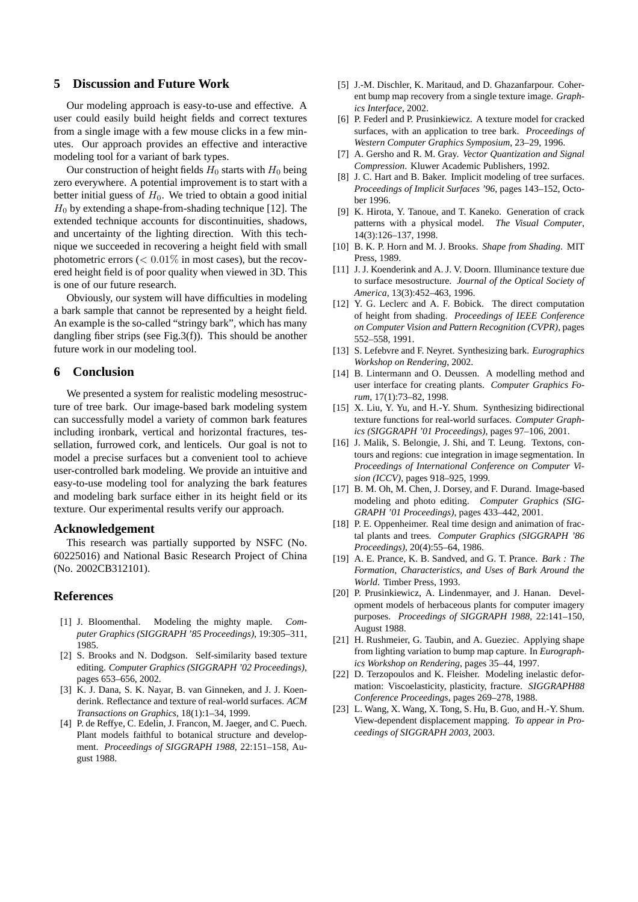## **5 Discussion and Future Work**

Our modeling approach is easy-to-use and effective. A user could easily build height fields and correct textures from a single image with a few mouse clicks in a few minutes. Our approach provides an effective and interactive modeling tool for a variant of bark types.

Our construction of height fields  $H_0$  starts with  $H_0$  being zero everywhere. A potential improvement is to start with a better initial guess of  $H_0$ . We tried to obtain a good initial  $H_0$  by extending a shape-from-shading technique [12]. The extended technique accounts for discontinuities, shadows, and uncertainty of the lighting direction. With this technique we succeeded in recovering a height field with small photometric errors  $(< 0.01\%$  in most cases), but the recovered height field is of poor quality when viewed in 3D. This is one of our future research.

Obviously, our system will have difficulties in modeling a bark sample that cannot be represented by a height field. An example is the so-called "stringy bark", which has many dangling fiber strips (see Fig.3(f)). This should be another future work in our modeling tool.

#### **6 Conclusion**

We presented a system for realistic modeling mesostructure of tree bark. Our image-based bark modeling system can successfully model a variety of common bark features including ironbark, vertical and horizontal fractures, tessellation, furrowed cork, and lenticels. Our goal is not to model a precise surfaces but a convenient tool to achieve user-controlled bark modeling. We provide an intuitive and easy-to-use modeling tool for analyzing the bark features and modeling bark surface either in its height field or its texture. Our experimental results verify our approach.

#### **Acknowledgement**

This research was partially supported by NSFC (No. 60225016) and National Basic Research Project of China (No. 2002CB312101).

#### **References**

- [1] J. Bloomenthal. Modeling the mighty maple. *Computer Graphics (SIGGRAPH '85 Proceedings)*, 19:305–311, 1985.
- [2] S. Brooks and N. Dodgson. Self-similarity based texture editing. *Computer Graphics (SIGGRAPH '02 Proceedings)*, pages 653–656, 2002.
- [3] K. J. Dana, S. K. Nayar, B. van Ginneken, and J. J. Koenderink. Reflectance and texture of real-world surfaces. *ACM Transactions on Graphics*, 18(1):1–34, 1999.
- [4] P. de Reffye, C. Edelin, J. Francon, M. Jaeger, and C. Puech. Plant models faithful to botanical structure and development. *Proceedings of SIGGRAPH 1988*, 22:151–158, August 1988.
- [5] J.-M. Dischler, K. Maritaud, and D. Ghazanfarpour. Coherent bump map recovery from a single texture image. *Graphics Interface*, 2002.
- [6] P. Federl and P. Prusinkiewicz. A texture model for cracked surfaces, with an application to tree bark. *Proceedings of Western Computer Graphics Symposium*, 23–29, 1996.
- [7] A. Gersho and R. M. Gray. *Vector Quantization and Signal Compression*. Kluwer Academic Publishers, 1992.
- [8] J. C. Hart and B. Baker. Implicit modeling of tree surfaces. *Proceedings of Implicit Surfaces '96*, pages 143–152, October 1996.
- [9] K. Hirota, Y. Tanoue, and T. Kaneko. Generation of crack patterns with a physical model. *The Visual Computer*, 14(3):126–137, 1998.
- [10] B. K. P. Horn and M. J. Brooks. *Shape from Shading*. MIT Press, 1989.
- [11] J. J. Koenderink and A. J. V. Doorn. Illuminance texture due to surface mesostructure. *Journal of the Optical Society of America*, 13(3):452–463, 1996.
- [12] Y. G. Leclerc and A. F. Bobick. The direct computation of height from shading. *Proceedings of IEEE Conference on Computer Vision and Pattern Recognition (CVPR)*, pages 552–558, 1991.
- [13] S. Lefebvre and F. Neyret. Synthesizing bark. *Eurographics Workshop on Rendering*, 2002.
- [14] B. Lintermann and O. Deussen. A modelling method and user interface for creating plants. *Computer Graphics Forum*, 17(1):73–82, 1998.
- [15] X. Liu, Y. Yu, and H.-Y. Shum. Synthesizing bidirectional texture functions for real-world surfaces. *Computer Graphics (SIGGRAPH '01 Proceedings)*, pages 97–106, 2001.
- [16] J. Malik, S. Belongie, J. Shi, and T. Leung. Textons, contours and regions: cue integration in image segmentation. In *Proceedings of International Conference on Computer Vision (ICCV)*, pages 918–925, 1999.
- [17] B. M. Oh, M. Chen, J. Dorsey, and F. Durand. Image-based modeling and photo editing. *Computer Graphics (SIG-GRAPH '01 Proceedings)*, pages 433–442, 2001.
- [18] P. E. Oppenheimer. Real time design and animation of fractal plants and trees. *Computer Graphics (SIGGRAPH '86 Proceedings)*, 20(4):55–64, 1986.
- [19] A. E. Prance, K. B. Sandved, and G. T. Prance. *Bark : The Formation, Characteristics, and Uses of Bark Around the World*. Timber Press, 1993.
- [20] P. Prusinkiewicz, A. Lindenmayer, and J. Hanan. Development models of herbaceous plants for computer imagery purposes. *Proceedings of SIGGRAPH 1988*, 22:141–150, August 1988.
- [21] H. Rushmeier, G. Taubin, and A. Gueziec. Applying shape from lighting variation to bump map capture. In *Eurographics Workshop on Rendering*, pages 35–44, 1997.
- [22] D. Terzopoulos and K. Fleisher. Modeling inelastic deformation: Viscoelasticity, plasticity, fracture. *SIGGRAPH88 Conference Proceedings*, pages 269–278, 1988.
- [23] L. Wang, X. Wang, X. Tong, S. Hu, B. Guo, and H.-Y. Shum. View-dependent displacement mapping. *To appear in Proceedings of SIGGRAPH 2003*, 2003.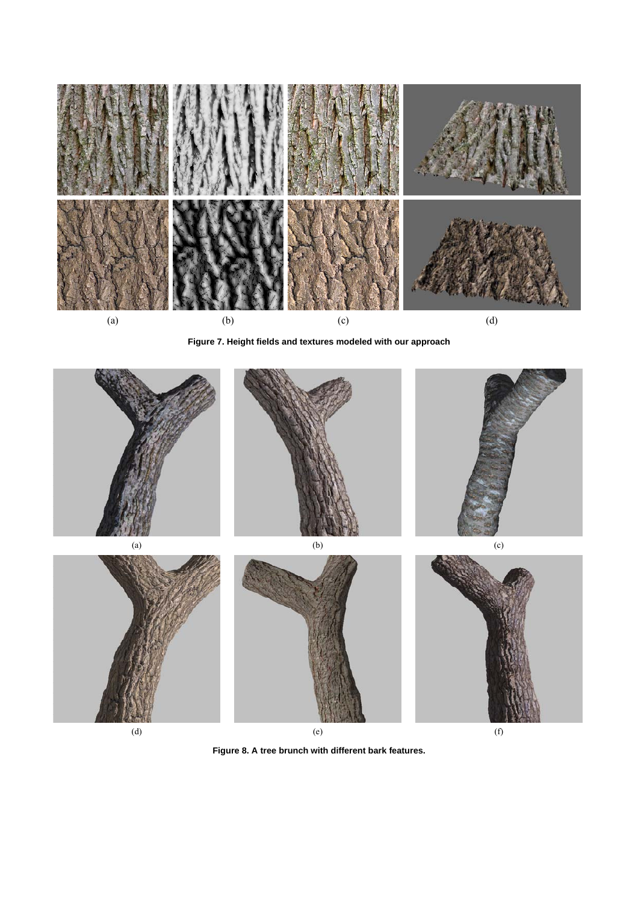

**Figure 7. Height fields and textures modeled with our approach**



**Figure 8. A tree brunch with different bark features.**